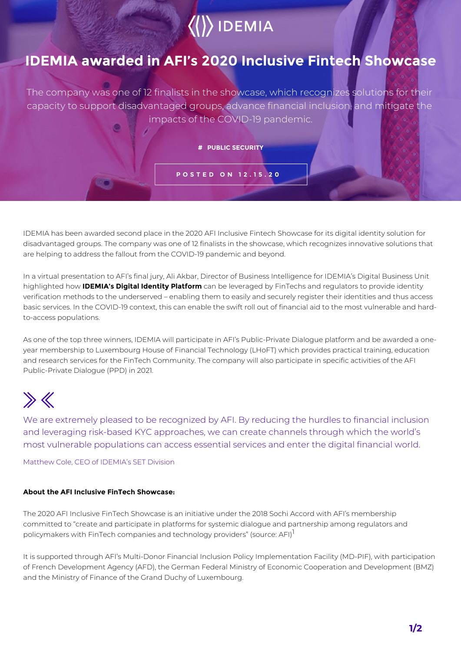# $\langle$  IDEMIA

### **IDEMIA awarded in AFI's 2020 Inclusive Fintech Showcase**

The company was one of 12 finalists in the showcase, which recognizes solutions for their capacity to support disadvantaged groups, advance financial inclusion, and mitigate the impacts of the COVID-19 pandemic.

**# PUBLIC SECURITY**

**POSTED ON 12.15.20**

IDEMIA has been awarded second place in the 2020 AFI Inclusive Fintech Showcase for its digital identity solution for disadvantaged groups. The company was one of 12 finalists in the showcase, which recognizes innovative solutions that are helping to address the fallout from the COVID-19 pandemic and beyond.

In a virtual presentation to AFI's final jury, Ali Akbar, Director of Business Intelligence for IDEMIA's Digital Business Unit highlighted how **IDEMIA's Digital Identity Platform** can be leveraged by FinTechs and regulators to provide identity verification methods to the underserved – enabling them to easily and securely register their identities and thus access basic services. In the COVID-19 context, this can enable the swift roll out of financial aid to the most vulnerable and hardto-access populations.

As one of the top three winners, IDEMIA will participate in AFI's Public-Private Dialogue platform and be awarded a oneyear membership to Luxembourg House of Financial Technology (LHoFT) which provides practical training, education and research services for the FinTech Community. The company will also participate in specific activities of the AFI Public-Private Dialogue (PPD) in 2021.

# $\gg K$

We are extremely pleased to be recognized by AFI. By reducing the hurdles to financial inclusion and leveraging risk-based KYC approaches, we can create channels through which the world's most vulnerable populations can access essential services and enter the digital financial world.

Matthew Cole, CEO of IDEMIA's SET Division

#### **About the AFI Inclusive FinTech Showcase:**

The 2020 AFI Inclusive FinTech Showcase is an initiative under the 2018 Sochi Accord with AFI's membership committed to "create and participate in platforms for systemic dialogue and partnership among regulators and policymakers with FinTech companies and technology providers" (source: AFI)<sup>1</sup>

It is supported through AFI's Multi-Donor Financial Inclusion Policy Implementation Facility (MD-PIF), with participation of French Development Agency (AFD), the German Federal Ministry of Economic Cooperation and Development (BMZ) and the Ministry of Finance of the Grand Duchy of Luxembourg.